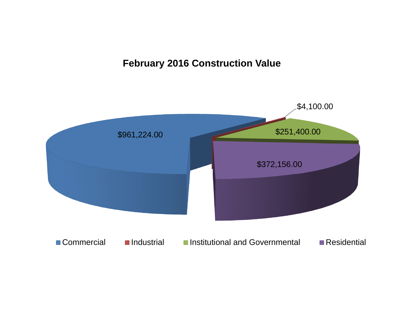## **February 2016 Construction Value**

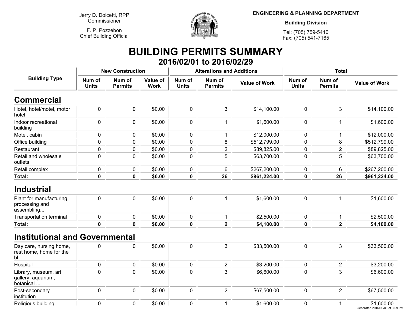**Jerry D. Dolcetti, RPPCommissioner**

**F. P. PozzebonChief Building Official**



**ENGINEERING & PLANNING DEPARTMENT**

**Building Division**

**Tel: (705) 759-5410Fax: (705) 541-7165**

## **BUILDING PERMITS SUMMARY 2016/02/01 to 2016/02/29**

|                                                          |                        | <b>New Construction</b>  |                         |                        | <b>Alterations and Additions</b> |                      | <b>Total</b>           |                          |                                               |  |
|----------------------------------------------------------|------------------------|--------------------------|-------------------------|------------------------|----------------------------------|----------------------|------------------------|--------------------------|-----------------------------------------------|--|
| <b>Building Type</b>                                     | Num of<br><b>Units</b> | Num of<br><b>Permits</b> | Value of<br><b>Work</b> | Num of<br><b>Units</b> | Num of<br><b>Permits</b>         | <b>Value of Work</b> | Num of<br><b>Units</b> | Num of<br><b>Permits</b> | <b>Value of Work</b>                          |  |
| <b>Commercial</b>                                        |                        |                          |                         |                        |                                  |                      |                        |                          |                                               |  |
| Hotel, hotel/motel, motor<br>hotel                       | $\mathbf 0$            | $\mathbf 0$              | \$0.00                  | $\mathbf 0$            | 3                                | \$14,100.00          | $\mathbf 0$            | 3                        | \$14,100.00                                   |  |
| Indoor recreational<br>building                          | $\mathbf 0$            | $\mathbf 0$              | \$0.00                  | $\mathbf 0$            | $\mathbf{1}$                     | \$1,600.00           | $\mathbf 0$            | $\mathbf{1}$             | \$1,600.00                                    |  |
| Motel, cabin                                             | 0                      | $\mathbf 0$              | \$0.00                  | $\mathbf 0$            | $\mathbf{1}$                     | \$12,000.00          | $\mathbf 0$            | 1                        | \$12,000.00                                   |  |
| Office building                                          | 0                      | 0                        | \$0.00                  | $\mathbf 0$            | 8                                | \$512,799.00         | 0                      | 8                        | \$512,799.00                                  |  |
| Restaurant                                               | 0                      | $\pmb{0}$                | \$0.00                  | 0                      | $\overline{2}$                   | \$89,825.00          | $\mathbf 0$            | $\overline{2}$           | \$89,825.00                                   |  |
| Retail and wholesale<br>outlets                          | 0                      | $\mathbf 0$              | \$0.00                  | $\mathbf 0$            | 5                                | \$63,700.00          | $\mathbf 0$            | 5                        | \$63,700.00                                   |  |
| Retail complex                                           | 0                      | 0                        | \$0.00                  | 0                      | 6                                | \$267,200.00         | 0                      | 6                        | \$267,200.00                                  |  |
| Total:                                                   | $\mathbf 0$            | $\mathbf 0$              | \$0.00                  | $\mathbf 0$            | 26                               | \$961,224.00         | $\mathbf 0$            | 26                       | \$961,224.00                                  |  |
| <b>Industrial</b>                                        |                        |                          |                         |                        |                                  |                      |                        |                          |                                               |  |
| Plant for manufacturing,<br>processing and<br>assembling | $\pmb{0}$              | 0                        | \$0.00                  | $\mathbf 0$            | $\mathbf{1}$                     | \$1,600.00           | $\mathbf 0$            | 1                        | \$1,600.00                                    |  |
| <b>Transportation terminal</b>                           | $\pmb{0}$              | $\mathbf 0$              | \$0.00                  | $\mathbf 0$            | 1                                | \$2,500.00           | $\mathbf 0$            | 1                        | \$2,500.00                                    |  |
| Total:                                                   | $\mathbf 0$            | $\mathbf 0$              | \$0.00                  | $\mathbf 0$            | $\overline{\mathbf{2}}$          | \$4,100.00           | 0                      | $\overline{\mathbf{2}}$  | \$4,100.00                                    |  |
| <b>Institutional and Governmental</b>                    |                        |                          |                         |                        |                                  |                      |                        |                          |                                               |  |
| Day care, nursing home,<br>rest home, home for the<br>bl | 0                      | 0                        | \$0.00                  | $\mathbf 0$            | 3                                | \$33,500.00          | $\mathbf 0$            | 3                        | \$33,500.00                                   |  |
| Hospital                                                 | $\pmb{0}$              | 0                        | \$0.00                  | $\pmb{0}$              | $\overline{2}$                   | \$3,200.00           | $\mathbf 0$            | $\sqrt{2}$               | \$3,200.00                                    |  |
| Library, museum, art<br>gallery, aquarium,<br>botanical  | 0                      | 0                        | \$0.00                  | $\mathbf 0$            | 3                                | \$6,600.00           | $\mathbf 0$            | 3                        | \$6,600.00                                    |  |
| Post-secondary<br>institution                            | $\mathbf 0$            | $\mathbf 0$              | \$0.00                  | $\mathbf 0$            | $\overline{2}$                   | \$67,500.00          | $\mathbf 0$            | $\overline{2}$           | \$67,500.00                                   |  |
| Religious building                                       | 0                      | $\mathbf 0$              | \$0.00                  | $\mathbf 0$            | 1                                | \$1,600.00           | $\mathbf 0$            | 1                        | \$1,600.00<br>Generated 2016/03/01 at 3:59 PM |  |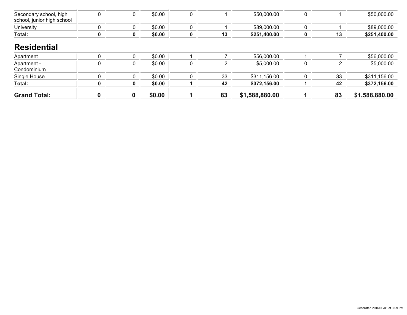| <b>Grand Total:</b>                                  |             | 0 | \$0.00 |   | 83 | \$1,588,880.00 |          | 83 | \$1,588,880.00 |
|------------------------------------------------------|-------------|---|--------|---|----|----------------|----------|----|----------------|
| Total:                                               | 0           | 0 | \$0.00 |   | 42 | \$372,156.00   |          | 42 | \$372,156.00   |
| Single House                                         | 0           | 0 | \$0.00 | 0 | 33 | \$311,156.00   |          | 33 | \$311,156.00   |
| Apartment -<br>Condominium                           | 0           | 0 | \$0.00 | 0 | 2  | \$5,000.00     | $\Omega$ | 2  | \$5,000.00     |
| Apartment                                            | 0           | 0 | \$0.00 |   |    | \$56,000.00    |          |    | \$56,000.00    |
| <b>Residential</b>                                   |             |   |        |   |    |                |          |    |                |
| Total:                                               | 0           | 0 | \$0.00 | 0 | 13 | \$251,400.00   |          | 13 | \$251,400.00   |
| <b>University</b>                                    | $\mathbf 0$ | 0 | \$0.00 | 0 |    | \$89,000.00    |          |    | \$89,000.00    |
| Secondary school, high<br>school, junior high school | 0           | 0 | \$0.00 | 0 |    | \$50,000.00    | $\Omega$ |    | \$50,000.00    |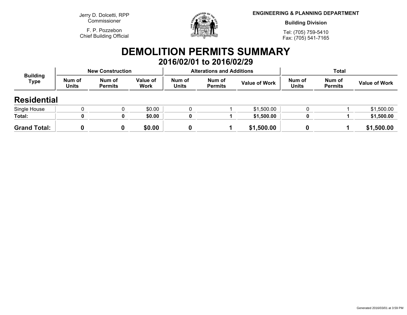**Jerry D. Dolcetti, RPPCommissioner**

**F. P. PozzebonChief Building Official**



**ENGINEERING & PLANNING DEPARTMENT**

**Building Division**

**Tel: (705) 759-5410Fax: (705) 541-7165**

## **DEMOLITION PERMITS SUMMARY 2016/02/01 to 2016/02/29**

| <b>Building</b><br><b>Type</b> |                        | <b>New Construction</b>  |                         |                        | <b>Alterations and Additions</b> |                      | <b>Total</b>           |                          |                      |
|--------------------------------|------------------------|--------------------------|-------------------------|------------------------|----------------------------------|----------------------|------------------------|--------------------------|----------------------|
|                                | Num of<br><b>Units</b> | Num of<br><b>Permits</b> | <b>Value of</b><br>Work | Num of<br><b>Units</b> | Num of<br><b>Permits</b>         | <b>Value of Work</b> | Num of<br><b>Units</b> | Num of<br><b>Permits</b> | <b>Value of Work</b> |
| <b>Residential</b>             |                        |                          |                         |                        |                                  |                      |                        |                          |                      |
| Single House                   |                        |                          | \$0.00                  | 0                      |                                  | \$1,500.00           |                        |                          | \$1,500.00           |
| Total:                         |                        | 0                        | \$0.00                  | 0                      |                                  | \$1,500.00           |                        |                          | \$1,500.00           |
| <b>Grand Total:</b>            |                        |                          | \$0.00                  |                        |                                  | \$1,500.00           |                        |                          | \$1,500.00           |